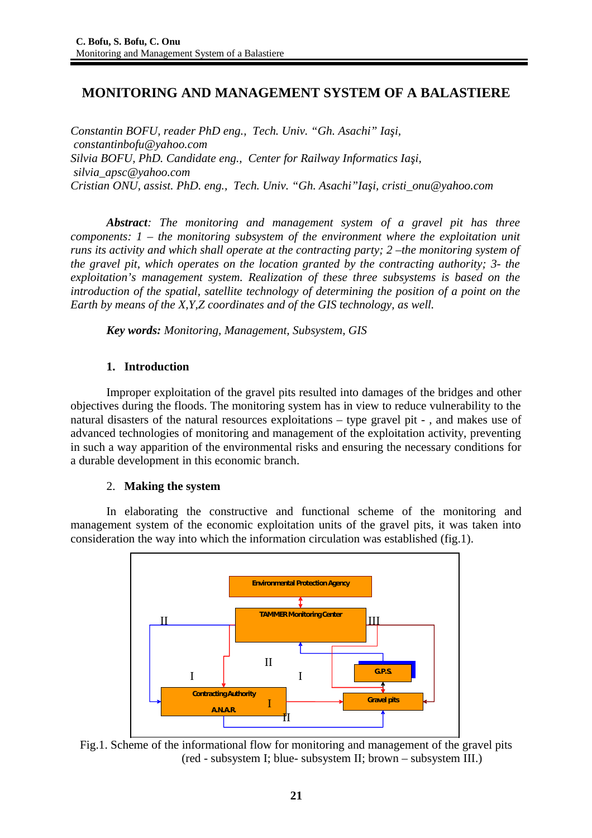# **MONITORING AND MANAGEMENT SYSTEM OF A BALASTIERE**

*Constantin BOFU, reader PhD eng., Tech. Univ. "Gh. Asachi" Iaşi, constantinbofu@yahoo.com Silvia BOFU, PhD. Candidate eng., Center for Railway Informatics Iaşi, silvia\_apsc@yahoo.com Cristian ONU, assist. PhD. eng., Tech. Univ. "Gh. Asachi"Iaşi, cristi\_onu@yahoo.com*

*Abstract: The monitoring and management system of a gravel pit has three components: 1 – the monitoring subsystem of the environment where the exploitation unit runs its activity and which shall operate at the contracting party; 2 –the monitoring system of the gravel pit, which operates on the location granted by the contracting authority; 3- the exploitation's management system. Realization of these three subsystems is based on the introduction of the spatial, satellite technology of determining the position of a point on the Earth by means of the X,Y,Z coordinates and of the GIS technology, as well.* 

*Key words: Monitoring, Management, Subsystem, GIS*

### **1. Introduction**

Improper exploitation of the gravel pits resulted into damages of the bridges and other objectives during the floods. The monitoring system has in view to reduce vulnerability to the natural disasters of the natural resources exploitations – type gravel pit - , and makes use of advanced technologies of monitoring and management of the exploitation activity, preventing in such a way apparition of the environmental risks and ensuring the necessary conditions for a durable development in this economic branch.

### 2. **Making the system**

In elaborating the constructive and functional scheme of the monitoring and management system of the economic exploitation units of the gravel pits, it was taken into consideration the way into which the information circulation was established (fig.1).



Fig.1. Scheme of the informational flow for monitoring and management of the gravel pits (red - subsystem I; blue- subsystem II; brown – subsystem III.)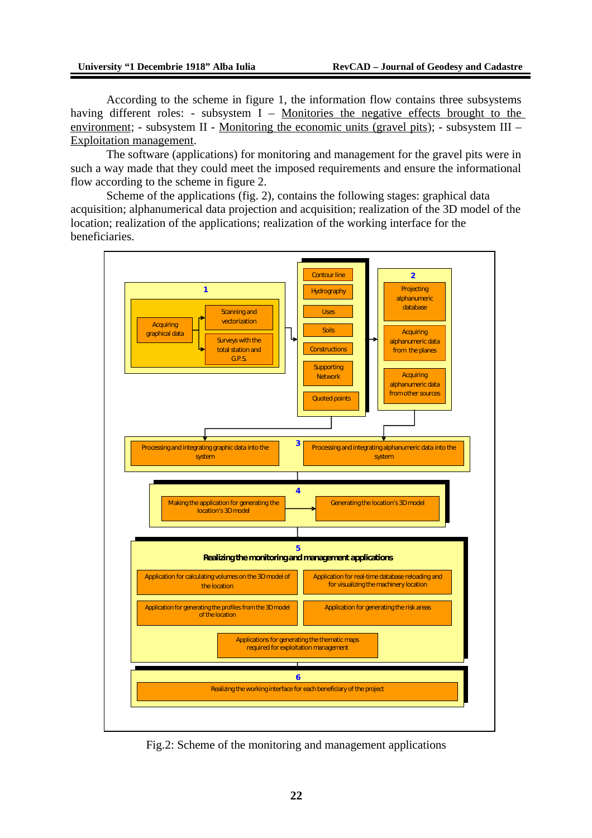According to the scheme in figure 1, the information flow contains three subsystems having different roles: - subsystem  $I -$  Monitories the negative effects brought to the environment; - subsystem II - Monitoring the economic units (gravel pits); - subsystem III – Exploitation management.

The software (applications) for monitoring and management for the gravel pits were in such a way made that they could meet the imposed requirements and ensure the informational flow according to the scheme in figure 2.

Scheme of the applications (fig. 2), contains the following stages: graphical data acquisition; alphanumerical data projection and acquisition; realization of the 3D model of the location; realization of the applications; realization of the working interface for the beneficiaries.



Fig.2: Scheme of the monitoring and management applications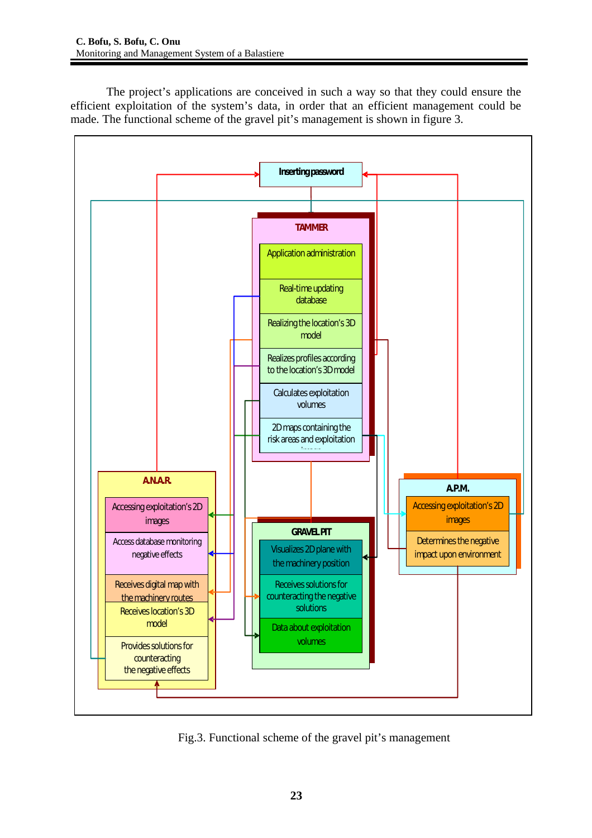The project's applications are conceived in such a way so that they could ensure the efficient exploitation of the system's data, in order that an efficient management could be made. The functional scheme of the gravel pit's management is shown in figure 3.



Fig.3. Functional scheme of the gravel pit's management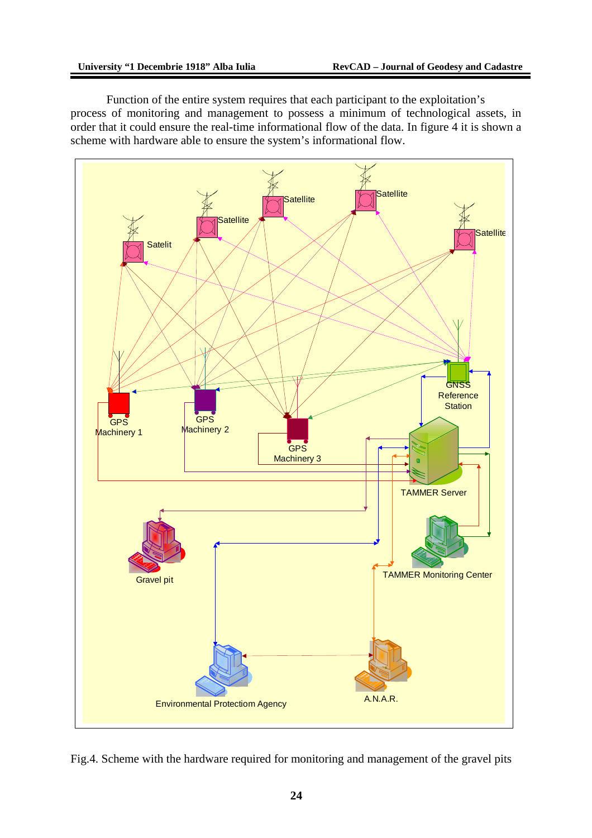Function of the entire system requires that each participant to the exploitation's process of monitoring and management to possess a minimum of technological assets, in order that it could ensure the real-time informational flow of the data. In figure 4 it is shown a scheme with hardware able to ensure the system's informational flow.



Fig.4. Scheme with the hardware required for monitoring and management of the gravel pits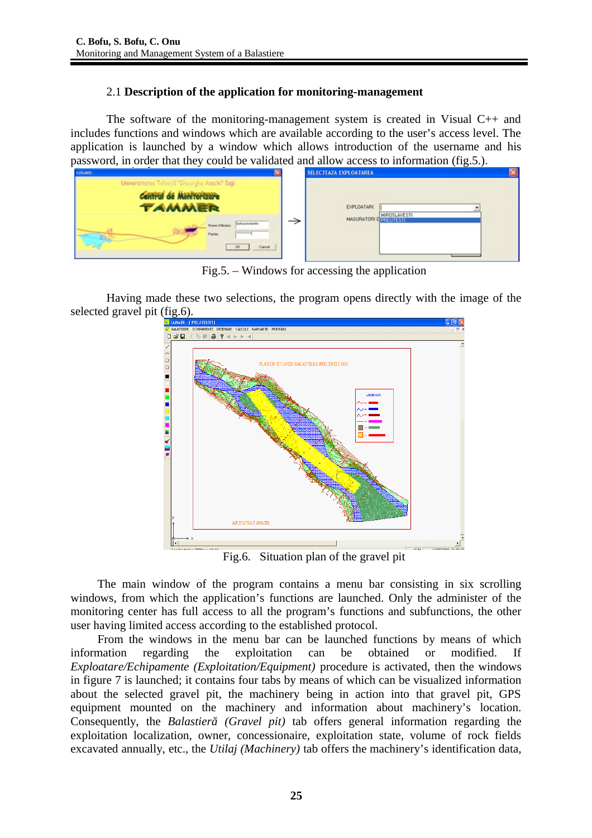## 2.1 **Description of the application for monitoring-management**

The software of the monitoring-management system is created in Visual C++ and includes functions and windows which are available according to the user's access level. The application is launched by a window which allows introduction of the username and his password, in order that they could be validated and allow access to information (fig.5.).

| $-$<br>$\sim$<br>LOGARE:                                                                                                                                               | <b>SELECTEAZA EXPLOATAREA</b>         |  |
|------------------------------------------------------------------------------------------------------------------------------------------------------------------------|---------------------------------------|--|
| Universitaten Tehnica "Gheorghe Asachi" Iapi<br>Central de Montterizare<br><b>TAMMER</b><br>boluconstantin<br>Nume UNicator:<br>----------<br><b>Parola:</b><br>Cancel | EXPLOATARI:<br>MASURATORI E PREUTESTI |  |

Fig.5. – Windows for accessing the application

Having made these two selections, the program opens directly with the image of the selected gravel pit (fig.6).



Fig.6. Situation plan of the gravel pit

The main window of the program contains a menu bar consisting in six scrolling windows, from which the application's functions are launched. Only the administer of the monitoring center has full access to all the program's functions and subfunctions, the other user having limited access according to the established protocol.

From the windows in the menu bar can be launched functions by means of which information regarding the exploitation can be obtained or modified. If *Exploatare/Echipamente (Exploitation/Equipment)* procedure is activated, then the windows in figure 7 is launched; it contains four tabs by means of which can be visualized information about the selected gravel pit, the machinery being in action into that gravel pit, GPS equipment mounted on the machinery and information about machinery's location. Consequently, the *Balastieră (Gravel pit)* tab offers general information regarding the exploitation localization, owner, concessionaire, exploitation state, volume of rock fields excavated annually, etc., the *Utilaj (Machinery)* tab offers the machinery's identification data,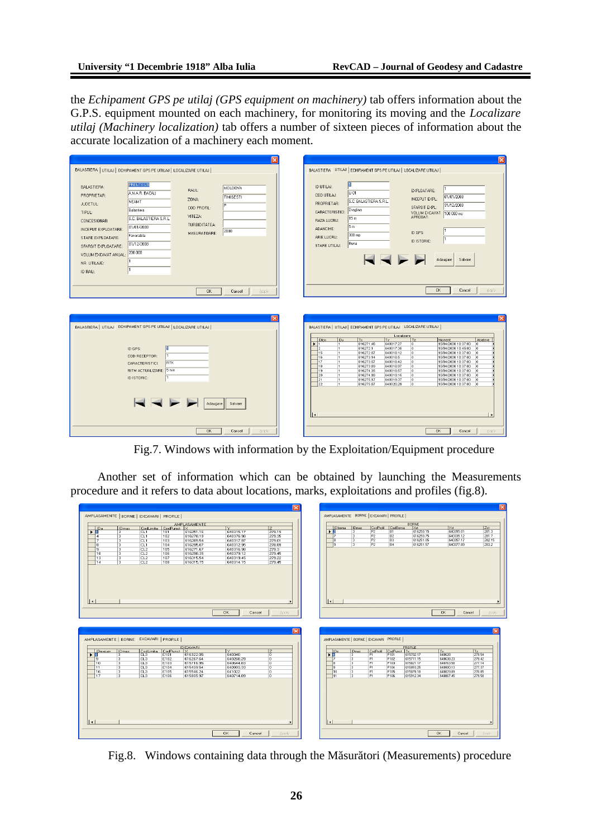the *Echipament GPS pe utilaj (GPS equipment on machinery)* tab offers information about the G.P.S. equipment mounted on each machinery, for monitoring its moving and the *Localizare utilaj (Machinery localization)* tab offers a number of sixteen pieces of information about the accurate localization of a machinery each moment.

| BALASTIERA UTILAJ ECHIPAMENT GPS PE UTILAJ   LOCALIZARE UTILAJ                                                                                                                                                                                                                                                                                                                                                                                                               | BALASTIERA UTILAJ ECHIPAMENT GPS PE UTILAJ LOCALIZARE UTILAJ                                                                                                                                                                                                                                                                                                                                                                                                                                                                                                                                                                                                                                                                                                                                                                                                                                                                                                                          |
|------------------------------------------------------------------------------------------------------------------------------------------------------------------------------------------------------------------------------------------------------------------------------------------------------------------------------------------------------------------------------------------------------------------------------------------------------------------------------|---------------------------------------------------------------------------------------------------------------------------------------------------------------------------------------------------------------------------------------------------------------------------------------------------------------------------------------------------------------------------------------------------------------------------------------------------------------------------------------------------------------------------------------------------------------------------------------------------------------------------------------------------------------------------------------------------------------------------------------------------------------------------------------------------------------------------------------------------------------------------------------------------------------------------------------------------------------------------------------|
| <b>PREUTESTI</b><br><b>BALASTIERA:</b><br><b>MOLDOVA</b><br>RAUL:<br>ANAR BACAU<br>PROPRIETAR:<br>TIMISESTI<br>Z0NA:<br><b>NEAMT</b><br>JUDETUL:<br>In<br>COD PROFIL:<br>Balastiera<br>TIPUL:<br>VITEZA:<br>S.C. BALASTIERA S.R.L.<br>CONCESIONAR<br><b>TURBIDITATEA:</b><br>01/01/2008<br>INCEPUT EXPLOATARE:<br>2008<br>MASURATOARE:<br>Favorabila<br>STARE EXPLOATARE:<br>01/12/2008<br>SFARSIT EXPLOATARE:<br>200 000<br>VOLUM EXCAVAT ANUAL:<br>NR. UTILAJE:<br>ID RAU: | ID UTILAJ:<br>EXPLOATARE:<br>U 01<br>COD UTILAJ:<br>01/01/2008<br>INCEPUT EXPL:<br>S.C. BALASTIERA S.R.L.<br>PROPRIETAR:<br>31/12/2008<br>SFARSIT EXPL:<br>Draglina<br>CARACTERISTICI:<br>VOLUM EXCAVAT<br>APROBAT:<br>100 000 mc<br>15 m<br>RAZA LUCRU:<br>5m<br>ADANCIME:<br>ID GPS:<br>300 mp<br>ARIE LUCRU:<br>ID ISTORIC:<br>Buna<br>STARE UTILAJ:<br>Adaugare<br>Salvare                                                                                                                                                                                                                                                                                                                                                                                                                                                                                                                                                                                                        |
| <b>OK</b><br>Cancel<br>Apply                                                                                                                                                                                                                                                                                                                                                                                                                                                 | <b>OK</b><br>Cancel<br>Apply                                                                                                                                                                                                                                                                                                                                                                                                                                                                                                                                                                                                                                                                                                                                                                                                                                                                                                                                                          |
| BALASTIERA   UTILAJ ECHIPAMENT GPS PE UTILAJ   LOCALIZARE UTILAJ                                                                                                                                                                                                                                                                                                                                                                                                             | BALASTIERA   UTILAJ   ECHIPAMENT GPS PE UTILAJ   LOCALIZARE UTILAJ                                                                                                                                                                                                                                                                                                                                                                                                                                                                                                                                                                                                                                                                                                                                                                                                                                                                                                                    |
| ID GPS:<br>COD RECEPTOR:<br><b>RTK</b><br>CARACTERISTICI:<br>5 min<br>RITM ACTUALIZARE:<br>ID ISTORIC:<br>Adaugare Salvare                                                                                                                                                                                                                                                                                                                                                   | Localizare<br>Ty.<br>IDu<br>Tx<br>Tz<br>Moment<br>Abatere<br>IDloc.<br>$\blacktriangleright$ 1<br>616271.46<br>640317.27<br>15/04/2008 10:37:00<br>lo.<br>lo.<br>11<br>616272.1<br>640317.35<br>ln.<br>15/04/2008 10:45:00<br>l2.<br>h.<br>lo.<br>15<br>616272.87<br>lo.<br>$\overline{1}$<br>640318.12<br>15/04/2008 10:37:00<br>lo.<br>616273.14<br>640318.5<br>16<br>15/04/2008 10:37:00<br>$\overline{1}$<br>ln.<br>lo.<br>17<br>616273.57<br>640318.42<br>lo.<br>$\overline{11}$<br>15/04/2008 10:37:00<br>$\overline{0}$<br>616273.89<br>640318.97<br>lo.<br>18<br>$\overline{1}$<br>15/04/2008 10:37:00<br>lo.<br>616274.35<br>19<br>$\overline{1}$<br>640318.57<br>lo.<br>15/04/2008 10:37:00<br>lo.<br>20<br>$\overline{1}$<br>616274.98<br>lo.<br>640319.15<br>15/04/2008 10:37:00<br>lo.<br>21<br>616275.17<br>$\overline{1}$<br>640319.37<br>o.<br>15/04/2008 10:37:00<br>lo.<br>22<br>$\overline{1}$<br>616275.87<br>640320.29<br>lo.<br>15/04/2008 10:37:00<br>lo.<br>⊪ |
| <b>OK</b><br>Cancel<br>Apply                                                                                                                                                                                                                                                                                                                                                                                                                                                 | <b>OK</b><br>Cancel<br>Apply                                                                                                                                                                                                                                                                                                                                                                                                                                                                                                                                                                                                                                                                                                                                                                                                                                                                                                                                                          |

Fig.7. Windows with information by the Exploitation/Equipment procedure

Another set of information which can be obtained by launching the Measurements procedure and it refers to data about locations, marks, exploitations and profiles (fig.8).

|                                           |                              |                        |                           |                        |                     | $\overline{\times}$              |                                                                     |                |                            |                        |                        | $\boxed{\mathbf{x}}$ |
|-------------------------------------------|------------------------------|------------------------|---------------------------|------------------------|---------------------|----------------------------------|---------------------------------------------------------------------|----------------|----------------------------|------------------------|------------------------|----------------------|
| AMPLASAMENTE   BORNE   EXCAVARI   PROFILE |                              |                        |                           |                        |                     |                                  | AMPLASAMENTE BORNE EXCAVARI PROFILE                                 |                |                            |                        |                        |                      |
|                                           |                              |                        |                           |                        |                     |                                  |                                                                     |                |                            |                        |                        |                      |
|                                           |                              |                        |                           | AMPLASAMENTE           | ΙY                  | 17                               |                                                                     |                |                            | <b>BORNE</b>           |                        | Zst                  |
| IDa<br>$\mathbf{F}$                       | IDmas<br>з                   | CL1                    | CodLimita CodPunct<br>101 | 1×<br>616251.16        | 640315.17           | 279.19                           | <b>IDmas</b><br>IDboma<br>$\blacktriangleright$ 2<br>$\overline{3}$ | CodProfil      | CodBorna<br>B <sub>1</sub> | Xst<br>616250.15       | Yst<br>640315.01       | 281.3                |
| 4                                         | з                            | <b>CL1</b>             | 102                       | 616278.19              | 640376.98           | 279.35                           | $\overline{3}$                                                      | P <sub>2</sub> | B2                         | 616250.75              | 640335.12              | 281.7                |
| $\overline{z}$                            | $\overline{\mathbf{3}}$      | CL <sub>1</sub>        | 103                       | 616289.54              | 640317.87           | 279.01                           | $\overline{3}$<br>18                                                | P <sub>2</sub> | B <sub>3</sub>             | 616251.05              | 640357.17              | 282.15               |
| $\overline{8}$                            | в                            | CL <sub>1</sub>        | 104                       | 616295.07              | 640312.95           | 278.89                           | $\overline{3}$<br>19                                                | P <sub>2</sub> | B4                         | 616251.57              | 640377.89              | 283.2                |
| $\overline{s}$                            | $\overline{\mathbf{3}}$      | CL <sub>2</sub>        | 105                       | 616271.67              | 640316.98           | 279.3                            |                                                                     |                |                            |                        |                        |                      |
| 10                                        | 3                            | CL <sub>2</sub>        | 106                       | 616298.35              | 640379.12           | 279.45                           |                                                                     |                |                            |                        |                        |                      |
| 13                                        | з                            | CL <sub>2</sub>        | 107                       | 616315.54              | 640319.45           | 279.22                           |                                                                     |                |                            |                        |                        |                      |
| 14                                        | $\overline{\mathbf{3}}$      | CL <sub>2</sub>        | 108                       | 616315.75              | 640314.15           | 279.45                           |                                                                     |                |                            |                        |                        |                      |
| Ⅱ⊀                                        |                              |                        |                           |                        | <b>OK</b><br>Cancel | <b>Apply</b>                     | $\vert \cdot \vert$                                                 |                |                            |                        | 0 <sup>K</sup>         | Apply<br>Cancel      |
|                                           |                              |                        |                           |                        |                     |                                  |                                                                     |                |                            |                        |                        |                      |
| AMPLASAMENTE   BORNE EXCAVARI   PROFILE   |                              |                        |                           |                        |                     | l×l                              | AMPLASAMENTE   BORNE   EXCAVARI PROFILE                             |                |                            |                        |                        |                      |
|                                           |                              |                        |                           |                        |                     |                                  |                                                                     |                |                            |                        |                        |                      |
|                                           |                              |                        |                           | EXCAVARI               | IY.                 |                                  |                                                                     |                | CodPunct Tx                | PROFILE                | I <sub>V</sub>         |                      |
| $\mathbf{F}$ $\mathbf{B}$                 | IDexcav IDmas                |                        | CodLimita CodPunct X      | 616322.05              | 640340              | 줌                                | $\frac{ $ Dmas                                                      | CodProfil      | P101                       | 615702.17              | 640628                 | $\frac{12}{279.54}$  |
| $\overline{a}$                            | $\overline{\mathbf{3}}$      | ct3                    | E102                      | 616267.64              | 640268.29           | $\overline{0}$                   | $\frac{1}{4}$<br>$\overline{3}$<br>17                               | P1             | P102                       | 615711.15              | 640638.23              | 279.42               |
| 10                                        | 3                            | CL <sub>3</sub>        | E103                      | 615716.95              | 640644.83           | $\overline{0}$                   | $\overline{3}$<br>18                                                | P <sub>1</sub> | P103                       | 615821.17              | 640763.58              | 277.14               |
| 11                                        | 3                            | CL3                    | E104                      | 615439.54              | 640993.33           | o                                | l9<br>$\overline{3}$                                                | P <sub>1</sub> | P104                       | 615853.25              | 640800.13              | 277.37               |
| 16<br>17                                  | $\overline{\mathbf{3}}$<br>3 | ct3<br>CL <sub>3</sub> | E105<br>E106              | 615546.24<br>615805.97 | 641022<br>640714.89 | $\overline{0}$<br>$\overline{ }$ | $\overline{3}$<br>10<br>3<br>11                                     | P1<br>P1       | P105<br>P106               | 615879.18<br>615912.34 | 640829.89<br>640867.45 | 278.85<br>279.58     |
|                                           |                              |                        |                           |                        |                     |                                  | $\vert \cdot \vert$                                                 |                |                            |                        |                        |                      |
| ∐≖                                        |                              |                        |                           |                        |                     |                                  |                                                                     |                |                            |                        |                        |                      |

Fig.8. Windows containing data through the Măsurători (Measurements) procedure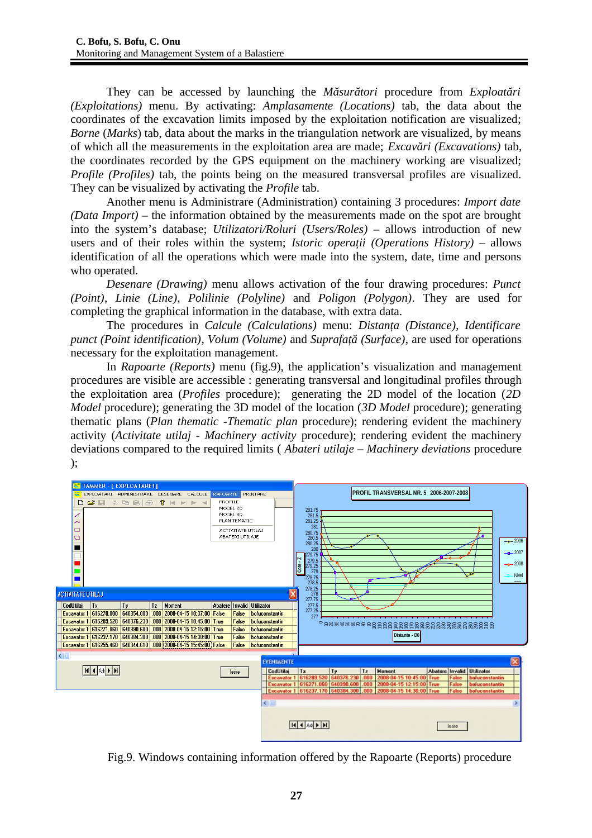They can be accessed by launching the *Măsurători* procedure from *Exploatări (Exploitations)* menu. By activating: *Amplasamente (Locations)* tab, the data about the coordinates of the excavation limits imposed by the exploitation notification are visualized; *Borne* (*Marks*) tab, data about the marks in the triangulation network are visualized, by means of which all the measurements in the exploitation area are made; *Excavări (Excavations)* tab, the coordinates recorded by the GPS equipment on the machinery working are visualized; *Profile (Profiles)* tab, the points being on the measured transversal profiles are visualized. They can be visualized by activating the *Profile* tab.

Another menu is Administrare (Administration) containing 3 procedures: *Import date (Data Import) –* the information obtained by the measurements made on the spot are brought into the system's database; *Utilizatori/Roluri (Users/Roles) –* allows introduction of new users and of their roles within the system; *Istoric operatii (Operations History)* – allows identification of all the operations which were made into the system, date, time and persons who operated.

*Desenare (Drawing)* menu allows activation of the four drawing procedures: *Punct (Point)*, *Linie (Line)*, *Polilinie (Polyline)* and *Poligon (Polygon)*. They are used for completing the graphical information in the database, with extra data.

The procedures in *Calcule (Calculations)* menu: *Distanţa (Distance)*, *Identificare punct (Point identification)*, *Volum (Volume)* and *Suprafaţă (Surface)*, are used for operations necessary for the exploitation management.

In *Rapoarte (Reports)* menu (fig.9), the application's visualization and management procedures are visible are accessible : generating transversal and longitudinal profiles through the exploitation area (*Profiles* procedure); generating the 2D model of the location (*2D Model* procedure); generating the 3D model of the location (*3D Model* procedure); generating thematic plans (*Plan thematic -Thematic plan* procedure); rendering evident the machinery activity (*Activitate utilaj - Machinery activity* procedure); rendering evident the machinery deviations compared to the required limits ( *Abateri utilaje – Machinery deviations* procedure );



Fig.9. Windows containing information offered by the Rapoarte (Reports) procedure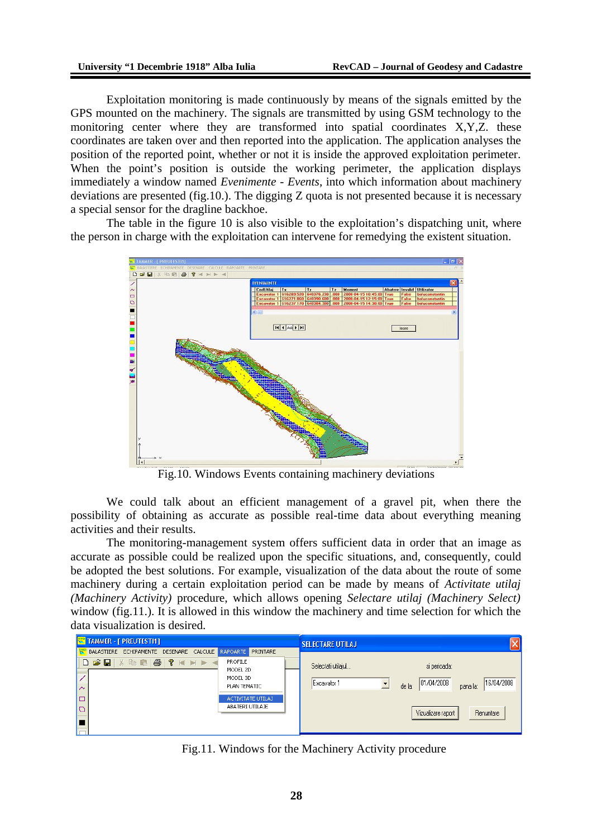Exploitation monitoring is made continuously by means of the signals emitted by the GPS mounted on the machinery. The signals are transmitted by using GSM technology to the monitoring center where they are transformed into spatial coordinates X,Y,Z. these coordinates are taken over and then reported into the application. The application analyses the position of the reported point, whether or not it is inside the approved exploitation perimeter. When the point's position is outside the working perimeter, the application displays immediately a window named *Evenimente - Events*, into which information about machinery deviations are presented (fig.10.). The digging Z quota is not presented because it is necessary a special sensor for the dragline backhoe.

The table in the figure 10 is also visible to the exploitation's dispatching unit, where the person in charge with the exploitation can intervene for remedying the existent situation.



Fig.10. Windows Events containing machinery deviations

We could talk about an efficient management of a gravel pit, when there the possibility of obtaining as accurate as possible real-time data about everything meaning activities and their results.

The monitoring-management system offers sufficient data in order that an image as accurate as possible could be realized upon the specific situations, and, consequently, could be adopted the best solutions. For example, visualization of the data about the route of some machinery during a certain exploitation period can be made by means of *Activitate utilaj (Machinery Activity)* procedure, which allows opening *Selectare utilaj (Machinery Select)* window (fig.11.). It is allowed in this window the machinery and time selection for which the data visualization is desired.

| TAMMER - [ PREUTESTI1]                                    |                                                 | <b>SELECTARE UTILAJ</b>           | v                                                              |
|-----------------------------------------------------------|-------------------------------------------------|-----------------------------------|----------------------------------------------------------------|
| BALASTIERE ECHIPAMENTE DESENARE CALCULE RAPOARTE PRINTARE |                                                 |                                   |                                                                |
| ▏▓▝ <b>░▐░▏░▏▏</b> ▏▏▛▏▗▏<br>$D \ncong H$<br>$\sim$       | PROFILE<br>MODEL 2D<br>MODEL 3D<br>PLAN TEMATIC | Selectati utilajul<br>Excavator 1 | si perioada:<br>16/04/2008<br>01/04/2008<br>de la:<br>pana la: |
| $\Box$<br>O                                               | <b>ACTIVITATE UTILAJ</b><br>ABATERI UTILAJE     |                                   |                                                                |
|                                                           |                                                 |                                   | Renuntare<br>Vizualizare raport                                |

Fig.11. Windows for the Machinery Activity procedure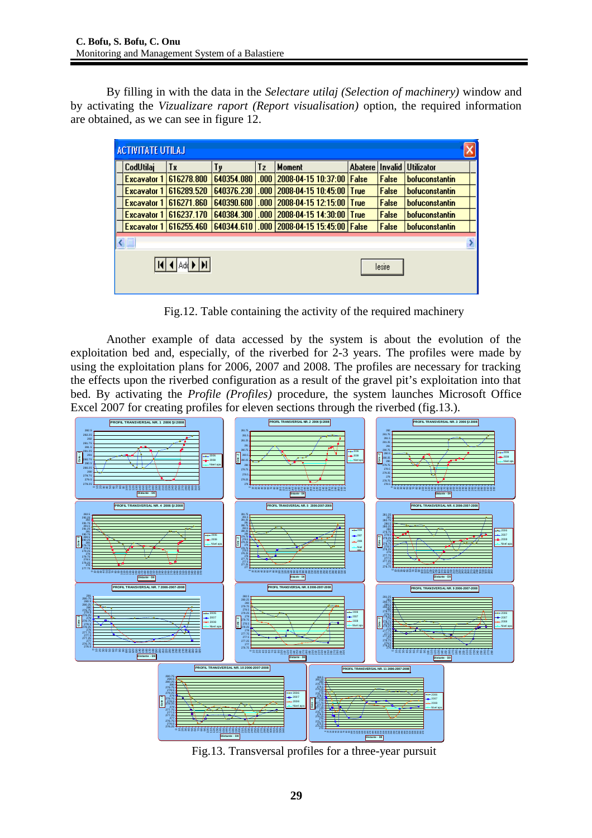By filling in with the data in the *Selectare utilaj (Selection of machinery)* window and by activating the *Vizualizare raport (Report visualisation)* option, the required information are obtained, as we can see in figure 12.

| <b>ACTIVITATE UTILAJ</b> |                                 |                          |            |      |                                |         |                |                                 |  |
|--------------------------|---------------------------------|--------------------------|------------|------|--------------------------------|---------|----------------|---------------------------------|--|
|                          | CodUtilaj                       | Tx                       | Tγ         | Τz   | <b>Moment</b>                  | Abatere | <b>Invalid</b> | <i><u><b>Utilizator</b></u></i> |  |
|                          | <b>Excavator 1</b>              | 616278.800               | 640354.080 | .000 | 2008-04-15 10:37:00   False    |         | False          | bofuconstantin                  |  |
|                          | <b>Excavator 1</b>              | 616289.520               | 640376.230 | .000 | 2008-04-15 10:45:00 True       |         | <b>False</b>   | <b>bofuconstantin</b>           |  |
|                          | <b>Excavator 1</b>              | 616271.860               | 640390.600 | .000 | 2008-04-15 12:15:00 True       |         | <b>False</b>   | bofuconstantin                  |  |
|                          | <b>Excavator 1</b>              | 616237.170               | 640384.300 | .000 | 2008-04-15 14:30:00 True       |         | False          | bofuconstantin                  |  |
|                          |                                 | Excavator 1   616255.460 | 640344.610 |      | .000 2008-04-15 15:45:00 False |         | False          | bofuconstantin                  |  |
|                          |                                 |                          |            |      |                                |         |                |                                 |  |
|                          | $ A $ 4 $ Add $ $ H $<br>lesire |                          |            |      |                                |         |                |                                 |  |

Fig.12. Table containing the activity of the required machinery

Another example of data accessed by the system is about the evolution of the exploitation bed and, especially, of the riverbed for 2-3 years. The profiles were made by using the exploitation plans for 2006, 2007 and 2008. The profiles are necessary for tracking the effects upon the riverbed configuration as a result of the gravel pit's exploitation into that bed. By activating the *Profile (Profiles)* procedure, the system launches Microsoft Office Excel 2007 for creating profiles for eleven sections through the riverbed (fig.13.).



Fig.13. Transversal profiles for a three-year pursuit